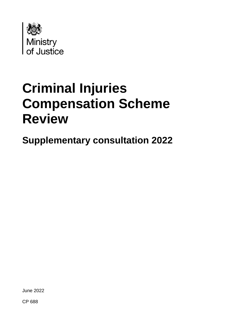

# **Criminal Injuries Compensation Scheme Review**

**Supplementary consultation 2022**

June 2022

CP 688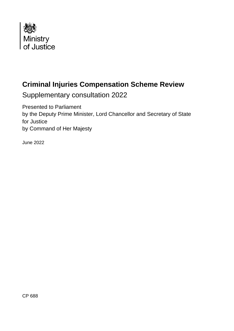

## **Criminal Injuries Compensation Scheme Review**

Supplementary consultation 2022

Presented to Parliament by the Deputy Prime Minister, Lord Chancellor and Secretary of State for Justice by Command of Her Majesty

June 2022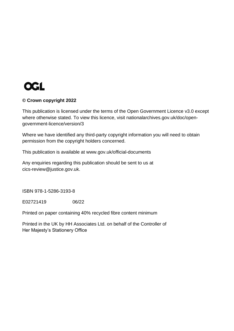

#### **© Crown copyright 2022**

This publication is licensed under the terms of the Open Government Licence v3.0 except where otherwise stated. To view this licence, visit [nationalarchives.gov.uk/doc/open](http://nationalarchives.gov.uk/doc/open-government-licence/version/3/)[government-licence/version/3](http://nationalarchives.gov.uk/doc/open-government-licence/version/3/) 

Where we have identified any third-party copyright information you will need to obtain permission from the copyright holders concerned.

This publication is available at [www.gov.uk/official-documents](http://www.gov.uk/official-documents) 

Any enquiries regarding this publication should be sent to us at [cics-review@justice.gov.uk.](mailto:cics-review@justice.gov.uk)

ISBN 978-1-5286-3193-8

E02721419 06/22

Printed on paper containing 40% recycled fibre content minimum

Printed in the UK by HH Associates Ltd. on behalf of the Controller of Her Majesty's Stationery Office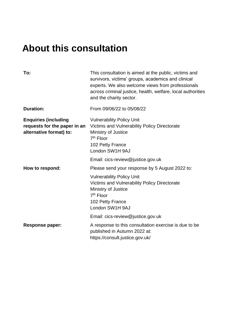## **About this consultation**

| To:                                                                                    | This consultation is aimed at the public, victims and<br>survivors, victims' groups, academics and clinical<br>experts. We also welcome views from professionals<br>across criminal justice, health, welfare, local authorities<br>and the charity sector. |
|----------------------------------------------------------------------------------------|------------------------------------------------------------------------------------------------------------------------------------------------------------------------------------------------------------------------------------------------------------|
| <b>Duration:</b>                                                                       | From 09/06/22 to 05/08/22                                                                                                                                                                                                                                  |
| <b>Enquiries (including</b><br>requests for the paper in an<br>alternative format) to: | <b>Vulnerability Policy Unit</b><br>Victims and Vulnerability Policy Directorate<br>Ministry of Justice<br>7 <sup>th</sup> Floor<br>102 Petty France<br>London SW1H 9AJ                                                                                    |
|                                                                                        | Email: cics-review@justice.gov.uk                                                                                                                                                                                                                          |
| How to respond:                                                                        | Please send your response by 5 August 2022 to:                                                                                                                                                                                                             |
|                                                                                        | <b>Vulnerability Policy Unit</b><br>Victims and Vulnerability Policy Directorate<br>Ministry of Justice<br>7 <sup>th</sup> Floor<br>102 Petty France<br>London SW1H 9AJ                                                                                    |
|                                                                                        | Email: cics-review@justice.gov.uk                                                                                                                                                                                                                          |
| <b>Response paper:</b>                                                                 | A response to this consultation exercise is due to be<br>published in Autumn 2022 at:<br>https://consult.justice.gov.uk/                                                                                                                                   |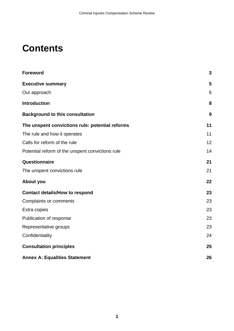## **Contents**

| <b>Foreword</b>                                  | 3  |
|--------------------------------------------------|----|
| <b>Executive summary</b>                         | 5  |
| Our approach                                     | 6  |
| <b>Introduction</b>                              | 8  |
| <b>Background to this consultation</b>           | 9  |
| The unspent convictions rule: potential reforms  | 11 |
| The rule and how it operates                     | 11 |
| Calls for reform of the rule                     | 12 |
| Potential reform of the unspent convictions rule | 14 |
| Questionnaire                                    | 21 |
| The unspent convictions rule                     | 21 |
| About you                                        | 22 |
| <b>Contact details/How to respond</b>            | 23 |
| Complaints or comments                           | 23 |
| Extra copies                                     | 23 |
| Publication of response                          | 23 |
| Representative groups                            | 23 |
| Confidentiality                                  | 24 |
| <b>Consultation principles</b>                   | 25 |
| <b>Annex A: Equalities Statement</b>             | 26 |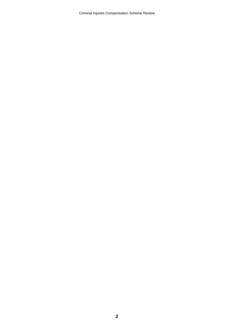Criminal Injuries Compensation Scheme Review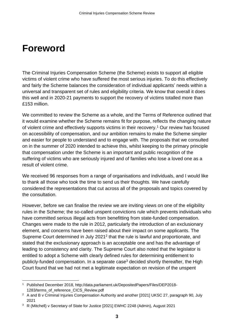## <span id="page-8-0"></span>**Foreword**

The Criminal Injuries Compensation Scheme (the Scheme) exists to support all eligible victims of violent crime who have suffered the most serious injuries. To do this effectively and fairly the Scheme balances the consideration of individual applicants' needs within a universal and transparent set of rules and eligibility criteria. We know that overall it does this well and in 2020-21 payments to support the recovery of victims totalled more than £153 million.

We committed to review the Scheme as a whole, and the Terms of Reference outlined that it would examine whether the Scheme remains fit for purpose, reflects the changing nature of violent crime and effectively supports victims in their recovery.<sup>1</sup> Our review has focused on accessibility of compensation, and our ambition remains to make the Scheme simpler and easier for people to understand and to engage with. The proposals that we consulted on in the summer of 2020 intended to achieve this, whilst keeping to the primary principle that compensation under the Scheme is an important and public recognition of the suffering of victims who are seriously injured and of families who lose a loved one as a result of violent crime.

We received 96 responses from a range of organisations and individuals, and I would like to thank all those who took the time to send us their thoughts. We have carefully considered the representations that cut across all of the proposals and topics covered by the consultation.

However, before we can finalise the review we are inviting views on one of the eligibility rules in the Scheme; the so-called unspent convictions rule which prevents individuals who have committed serious illegal acts from benefitting from state-funded compensation. Changes were made to the rule in 2012, particularly the introduction of an exclusionary element, and concerns have been raised about their impact on some applicants. The Supreme Court determined in July 2021<sup>2</sup> that the rule is lawful and proportionate, and stated that the exclusionary approach is an acceptable one and has the advantage of leading to consistency and clarity. The Supreme Court also noted that the legislator is entitled to adopt a Scheme with clearly defined rules for determining entitlement to publicly-funded compensation. In a separate case<sup>3</sup> decided shortly thereafter, the High Court found that we had not met a legitimate expectation on revision of the unspent

<sup>1</sup> Published December 2018, [http://data.parliament.uk/DepositedPapers/Files/DEP2018-](http://data.parliament.uk/DepositedPapers/Files/DEP2018-1283/terms_of_reference_CICS_Review.pdf) [1283/terms\\_of\\_reference\\_CICS\\_Review.pdf](http://data.parliament.uk/DepositedPapers/Files/DEP2018-1283/terms_of_reference_CICS_Review.pdf)

 $2 \text{ A}$  and B v Criminal Injuries Compensation Authority and another [2021] UKSC 27, paragraph 90, July 2021

<sup>&</sup>lt;sup>3</sup> R (Mitchell) v Secretary of State for Justice [2021] EWHC 2248 (Admin), August 2021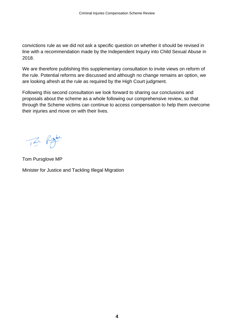convictions rule as we did not ask a specific question on whether it should be revised in line with a recommendation made by the Independent Inquiry into Child Sexual Abuse in 2018.

We are therefore publishing this supplementary consultation to invite views on reform of the rule. Potential reforms are discussed and although no change remains an option, we are looking afresh at the rule as required by the High Court judgment.

Following this second consultation we look forward to sharing our conclusions and proposals about the scheme as a whole following our comprehensive review, so that through the Scheme victims can continue to access compensation to help them overcome their injuries and move on with their lives.

The Purpor

Tom Pursglove MP

Minister for Justice and Tackling Illegal Migration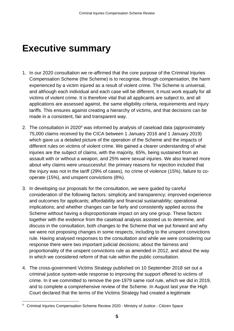## <span id="page-10-0"></span>**Executive summary**

- 1. In our 2020 consultation we re-affirmed that the core purpose of the Criminal Injuries Compensation Scheme (the Scheme) is to recognise, through compensation, the harm experienced by a victim injured as a result of violent crime. The Scheme is universal, and although each individual and each case will be different, it must work equally for all victims of violent crime. It is therefore vital that all applicants are subject to, and all applications are assessed against, the same eligibility criteria, requirements and injury tariffs. This ensures against creating a hierarchy of victims, and that decisions can be made in a consistent, fair and transparent way.
- 2. The consultation in 2020<sup>4</sup> was informed by analysis of caseload data (approximately 75,000 claims received by the CICA between 1 January 2016 and 1 January 2019) which gave us a detailed picture of the operation of the Scheme and the impacts of different rules on victims of violent crime. We gained a clearer understanding of what injuries are the subject of claims, with the majority, 65%, being sustained from an assault with or without a weapon, and 25% were sexual injuries. We also learned more about why claims were unsuccessful: the primary reasons for rejection included that the injury was not in the tariff (29% of cases), no crime of violence (15%), failure to cooperate (15%), and unspent convictions (8%).
- 3. In developing our proposals for the consultation, we were guided by careful consideration of the following factors: simplicity and transparency; improved experience and outcomes for applicants; affordability and financial sustainability; operational implications; and whether changes can be fairly and consistently applied across the Scheme without having a disproportionate impact on any one group. These factors together with the evidence from the caseload analysis assisted us to determine, and discuss in the consultation, both changes to the Scheme that we put forward and why we were not proposing changes in some respects, including to the unspent convictions rule. Having analysed responses to the consultation and while we were considering our response there were two important judicial decisions; about the fairness and proportionality of the unspent convictions rule as amended in 2012, and about the way in which we considered reform of that rule within the public consultation.
- 4. The cross-government Victims Strategy published on 10 September 2018 set out a criminal justice system-wide response to improving the support offered to victims of crime. In it we committed to remove the pre-1979 same roof rule, which we did in 2019, and to complete a comprehensive review of the Scheme. In August last year the High Court declared that the terms of the Victims Strategy had created a legitimate

<sup>4</sup> Criminal Injuries Compensation Scheme Review 2020 - Ministry of Justice - Citizen Space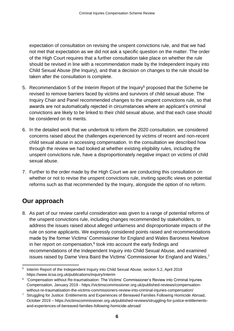expectation of consultation on revising the unspent convictions rule, and that we had not met that expectation as we did not ask a specific question on the matter. The order of the High Court requires that a further consultation take place on whether the rule should be revised in line with a recommendation made by the Independent Inquiry into Child Sexual Abuse (the Inquiry), and that a decision on changes to the rule should be taken after the consultation is complete.

- 5. Recommendation 5 of the Interim Report of the Inquiry<sup>5</sup> proposed that the Scheme be revised to remove barriers faced by victims and survivors of child sexual abuse. The Inquiry Chair and Panel recommended changes to the unspent convictions rule, so that awards are not automatically rejected in circumstances where an applicant's criminal convictions are likely to be linked to their child sexual abuse, and that each case should be considered on its merits.
- 6. In the detailed work that we undertook to inform the 2020 consultation, we considered concerns raised about the challenges experienced by victims of recent and non-recent child sexual abuse in accessing compensation. In the consultation we described how through the review we had looked at whether existing eligibility rules, including the unspent convictions rule, have a disproportionately negative impact on victims of child sexual abuse.
- 7. Further to the order made by the High Court we are conducting this consultation on whether or not to revise the unspent convictions rule, inviting specific views on potential reforms such as that recommended by the Inquiry, alongside the option of no reform.

## <span id="page-11-0"></span>**Our approach**

8. As part of our review careful consideration was given to a range of potential reforms of the unspent convictions rule, including changes recommended by stakeholders, to address the issues raised about alleged unfairness and disproportionate impacts of the rule on some applicants. We expressly considered points raised and recommendations made by the former Victims' Commissioner for England and Wales Baroness Newlove in her report on compensation, $6$  took into account the early findings and recommendations of the Independent Inquiry into Child Sexual Abuse, and examined issues raised by Dame Vera Baird the Victims' Commissioner for England and Wales,<sup>7</sup>

<sup>5</sup> Interim Report of the Independent Inquiry into Child Sexual Abuse, section 5.2, April 2018 <https://www.iicsa.org.uk/publications/inquiry/interim>

<sup>&</sup>lt;sup>6</sup> 'Compensation without Re-traumatisation: The Victims' Commissioner's Review into Criminal Injuries Compensation, January 2019 - [https://victimscommissioner.org.uk/published-reviews/compensation](https://victimscommissioner.org.uk/published-reviews/compensation-without-re-traumatisation-the-victims-commissioners-review-into-criminal-injuries-compensation/)[without-re-traumatisation-the-victims-commissioners-review-into-criminal-injuries-compensation/](https://victimscommissioner.org.uk/published-reviews/compensation-without-re-traumatisation-the-victims-commissioners-review-into-criminal-injuries-compensation/)

<sup>&</sup>lt;sup>7</sup> Struggling for Justice: Entitlements and Experiences of Bereaved Families Following Homicide Abroad, October 2019 – [https://victimscommissioner.org.uk/published-reviews/struggling-for-justice-entitlements](https://victimscommissioner.org.uk/published-reviews/struggling-for-justice-entitlements-and-experiences-of-bereaved-families-following-homicide-abroad/)[and-experiences-of-bereaved-families-following-homicide-abroad/](https://victimscommissioner.org.uk/published-reviews/struggling-for-justice-entitlements-and-experiences-of-bereaved-families-following-homicide-abroad/)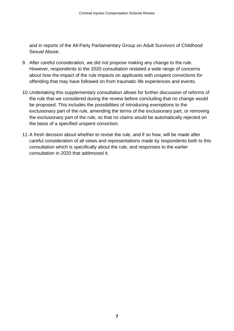and in reports of the All-Party Parliamentary Group on Adult Survivors of Childhood Sexual Abuse.

- 9. After careful consideration, we did not propose making any change to the rule. However, respondents to the 2020 consultation restated a wide range of concerns about how the impact of the rule impacts on applicants with unspent convictions for offending that may have followed on from traumatic life experiences and events.
- 10.Undertaking this supplementary consultation allows for further discussion of reforms of the rule that we considered during the review before concluding that no change would be proposed. This includes the possibilities of introducing exemptions to the exclusionary part of the rule, amending the terms of the exclusionary part, or removing the exclusionary part of the rule, so that no claims would be automatically rejected on the basis of a specified unspent conviction.
- 11.A fresh decision about whether to revise the rule, and if so how, will be made after careful consideration of all views and representations made by respondents both to this consultation which is specifically about the rule, and responses to the earlier consultation in 2020 that addressed it.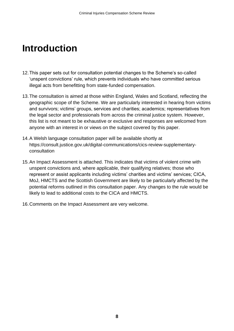## <span id="page-13-0"></span>**Introduction**

- 12.This paper sets out for consultation potential changes to the Scheme's so-called 'unspent convictions' rule, which prevents individuals who have committed serious illegal acts from benefitting from state-funded compensation.
- 13.The consultation is aimed at those within England, Wales and Scotland, reflecting the geographic scope of the Scheme. We are particularly interested in hearing from victims and survivors; victims' groups, services and charities; academics; representatives from the legal sector and professionals from across the criminal justice system. However, this list is not meant to be exhaustive or exclusive and responses are welcomed from anyone with an interest in or views on the subject covered by this paper.
- 14.A Welsh language consultation paper will be available shortly at [https://consult.justice.gov.uk/digital-communications/cics-review-supplementary](https://consult.justice.gov.uk/digital-communications/cics-review-supplementary-consultation)[consultation](https://consult.justice.gov.uk/digital-communications/cics-review-supplementary-consultation)
- 15.An Impact Assessment is attached. This indicates that victims of violent crime with unspent convictions and, where applicable, their qualifying relatives; those who represent or assist applicants including victims' charities and victims' services; CICA, MoJ, HMCTS and the Scottish Government are likely to be particularly affected by the potential reforms outlined in this consultation paper. Any changes to the rule would be likely to lead to additional costs to the CICA and HMCTS.
- 16.Comments on the Impact Assessment are very welcome.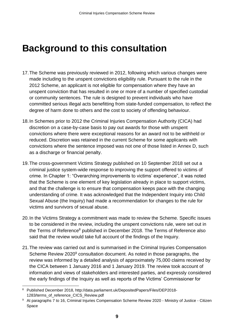## <span id="page-14-0"></span>**Background to this consultation**

- 17.The Scheme was previously reviewed in 2012, following which various changes were made including to the unspent convictions eligibility rule. Pursuant to the rule in the 2012 Scheme, an applicant is not eligible for compensation where they have an unspent conviction that has resulted in one or more of a number of specified custodial or community sentences. The rule is designed to prevent individuals who have committed serious illegal acts benefitting from state-funded compensation, to reflect the degree of harm done to others and the cost to society of offending behaviour.
- 18.In Schemes prior to 2012 the Criminal Injuries Compensation Authority (CICA) had discretion on a case-by-case basis to pay out awards for those with unspent convictions where there were exceptional reasons for an award not to be withheld or reduced. Discretion was retained in the current Scheme for some applicants with convictions where the sentence imposed was not one of those listed in Annex D, such as a discharge or financial penalty.
- 19.The cross-government Victims Strategy published on 10 September 2018 set out a criminal justice system-wide response to improving the support offered to victims of crime. In Chapter 1: "Overarching improvements to victims' experience", it was noted that the Scheme is one element of key legislation already in place to support victims, and that the challenge is to ensure that compensation keeps pace with the changing understanding of crime. It was acknowledged that the Independent Inquiry into Child Sexual Abuse (the Inquiry) had made a recommendation for changes to the rule for victims and survivors of sexual abuse.
- 20.In the Victims Strategy a commitment was made to review the Scheme. Specific issues to be considered in the review, including the unspent convictions rule, were set out in the Terms of Reference<sup>8</sup> published in December 2018. The Terms of Reference also said that the review would take full account of the findings of the Inquiry.
- 21.The review was carried out and is summarised in the Criminal Injuries Compensation Scheme Review 2020<sup>9</sup> consultation document. As noted in those paragraphs, the review was informed by a detailed analysis of approximately 75,000 claims received by the CICA between 1 January 2016 and 1 January 2019. The review took account of information and views of stakeholders and interested parties, and expressly considered the early findings of the Inquiry as well as reports of the Victims' Commissioner for

<sup>8</sup> Published December 2018, http://data.parliament.uk/DepositedPapers/Files/DEP2018- 1283/terms\_of\_reference\_CICS\_Review.pdf

<sup>9</sup> At paragraphs 7 to 16, Criminal Injuries Compensation Scheme Review 2020 - Ministry of Justice - Citizen Space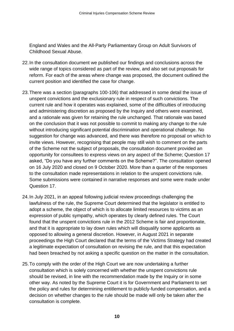England and Wales and the All-Party Parliamentary Group on Adult Survivors of Childhood Sexual Abuse.

- 22.In the consultation document we published our findings and conclusions across the wide range of topics considered as part of the review, and also set out proposals for reform. For each of the areas where change was proposed, the document outlined the current position and identified the case for change.
- 23.There was a section (paragraphs 100-106) that addressed in some detail the issue of unspent convictions and the exclusionary rule in respect of such convictions. The current rule and how it operates was explained, some of the difficulties of introducing and administering discretion as proposed by the Inquiry and others were examined, and a rationale was given for retaining the rule unchanged. That rationale was based on the conclusion that it was not possible to commit to making any change to the rule without introducing significant potential discrimination and operational challenge. No suggestion for change was advanced, and there was therefore no proposal on which to invite views. However, recognising that people may still wish to comment on the parts of the Scheme not the subject of proposals, the consultation document provided an opportunity for consultees to express views on any aspect of the Scheme; Question 17 asked, "Do you have any further comments on the Scheme?". The consultation opened on 16 July 2020 and closed on 9 October 2020. More than a quarter of the responses to the consultation made representations in relation to the unspent convictions rule. Some submissions were contained in narrative responses and some were made under Question 17.
- 24.In July 2021, in an appeal following judicial review proceedings challenging the lawfulness of the rule, the Supreme Court determined that the legislator is entitled to adopt a scheme, the object of which is to allocate limited resources to victims as an expression of public sympathy, which operates by clearly defined rules. The Court found that the unspent convictions rule in the 2012 Scheme is fair and proportionate, and that it is appropriate to lay down rules which will disqualify some applicants as opposed to allowing a general discretion. However, in August 2021 in separate proceedings the High Court declared that the terms of the Victims Strategy had created a legitimate expectation of consultation on revising the rule, and that this expectation had been breached by not asking a specific question on the matter in the consultation.
- 25.To comply with the order of the High Court we are now undertaking a further consultation which is solely concerned with whether the unspent convictions rule should be revised, in line with the recommendation made by the Inquiry or in some other way. As noted by the Supreme Court it is for Government and Parliament to set the policy and rules for determining entitlement to publicly-funded compensation, and a decision on whether changes to the rule should be made will only be taken after the consultation is complete.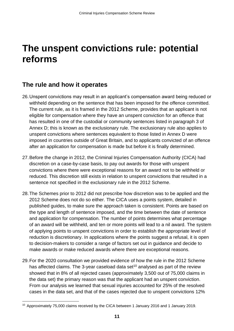## <span id="page-16-0"></span>**The unspent convictions rule: potential reforms**

## <span id="page-16-1"></span>**The rule and how it operates**

- 26.Unspent convictions may result in an applicant's compensation award being reduced or withheld depending on the sentence that has been imposed for the offence committed. The current rule, as it is framed in the 2012 Scheme, provides that an applicant is not eligible for compensation where they have an unspent conviction for an offence that has resulted in one of the custodial or community sentences listed in paragraph 3 of Annex D; this is known as the exclusionary rule. The exclusionary rule also applies to unspent convictions where sentences equivalent to those listed in Annex D were imposed in countries outside of Great Britain, and to applicants convicted of an offence after an application for compensation is made but before it is finally determined.
- 27.Before the change in 2012, the Criminal Injuries Compensation Authority (CICA) had discretion on a case-by-case basis, to pay out awards for those with unspent convictions where there were exceptional reasons for an award not to be withheld or reduced. This discretion still exists in relation to unspent convictions that resulted in a sentence not specified in the exclusionary rule in the 2012 Scheme.
- 28.The Schemes prior to 2012 did not prescribe how discretion was to be applied and the 2012 Scheme does not do so either. The CICA uses a points system, detailed in published guides, to make sure the approach taken is consistent. Points are based on the type and length of sentence imposed, and the time between the date of sentence and application for compensation. The number of points determines what percentage of an award will be withheld, and ten or more points will lead to a nil award. The system of applying points to unspent convictions in order to establish the appropriate level of reduction is discretionary. In applications where the points suggest a refusal, it is open to decision-makers to consider a range of factors set out in guidance and decide to make awards or make reduced awards where there are exceptional reasons.
- 29.For the 2020 consultation we provided evidence of how the rule in the 2012 Scheme has affected claims. The 3-year caseload data set<sup>10</sup> analysed as part of the review showed that in 8% of all rejected cases (approximately 3,500 out of 75,000 claims in the data set) the primary reason was that the applicant had an unspent conviction. From our analysis we learned that sexual injuries accounted for 25% of the resolved cases in the data set, and that of the cases rejected due to unspent convictions 12%

<sup>&</sup>lt;sup>10</sup> Approximately 75,000 claims received by the CICA between 1 January 2016 and 1 January 2019.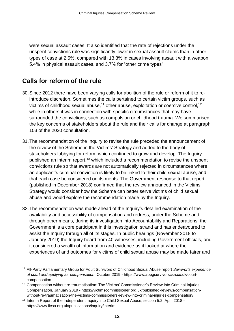were sexual assault cases. It also identified that the rate of rejections under the unspent convictions rule was significantly lower in sexual assault claims than in other types of case at 2.5%, compared with 13.3% in cases involving assault with a weapon, 5.4% in physical assault cases, and 3.7% for "other crime types".

### <span id="page-17-0"></span>**Calls for reform of the rule**

- 30.Since 2012 there have been varying calls for abolition of the rule or reform of it to reintroduce discretion. Sometimes the calls pertained to certain victim groups, such as victims of childhood sexual abuse,<sup>11</sup> other abuse, exploitation or coercive control,<sup>12</sup> while in others it was in connection with specific circumstances that may have surrounded the convictions, such as compulsion or childhood trauma. We summarised the key concerns of stakeholders about the rule and their calls for change at paragraph 103 of the 2020 consultation.
- 31.The recommendation of the Inquiry to revise the rule preceded the announcement of the review of the Scheme in the Victims' Strategy and added to the body of stakeholders lobbying for reform which continued to grow and develop. The Inquiry published an interim report,<sup>13</sup> which included a recommendation to revise the unspent convictions rule so that awards are not automatically rejected in circumstances where an applicant's criminal conviction is likely to be linked to their child sexual abuse, and that each case be considered on its merits. The Government response to that report (published in December 2018) confirmed that the review announced in the Victims Strategy would consider how the Scheme can better serve victims of child sexual abuse and would explore the recommendation made by the Inquiry.
- 32.The recommendation was made ahead of the Inquiry's detailed examination of the availability and accessibility of compensation and redress, under the Scheme and through other means, during its investigation into Accountability and Reparations; the Government is a core participant in this investigation strand and has endeavoured to assist the Inquiry through all of its stages. In public hearings (November 2018 to January 2019) the Inquiry heard from 40 witnesses, including Government officials, and it considered a wealth of information and evidence as it looked at where the experiences of and outcomes for victims of child sexual abuse may be made fairer and

<sup>11</sup> All-Party Parliamentary Group for Adult Survivors of Childhood Sexual Abuse report *Survivor's experience of court and applying for compensation*, October 2019 - https://www.appgsurvivorscsa.co.uk/courtcompensation

<sup>&</sup>lt;sup>12</sup> Compensation without re-traumatisation: The Victims' Commissioner's Review into Criminal Injuries Compensation, January 2019 - https://victimscommissioner.org.uk/published-reviews/compensationwithout-re-traumatisation-the-victims-commissioners-review-into-criminal-injuries-compensation/

<sup>13</sup> Interim Report of the Independent Inquiry into Child Sexual Abuse, section 5.2, April 2018 https://www.iicsa.org.uk/publications/inquiry/interim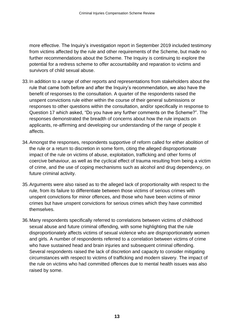more effective. The Inquiry's investigation report in September 2019 included testimony from victims affected by the rule and other requirements of the Scheme, but made no further recommendations about the Scheme. The Inquiry is continuing to explore the potential for a redress scheme to offer accountability and reparation to victims and survivors of child sexual abuse.

- 33.In addition to a range of other reports and representations from stakeholders about the rule that came both before and after the Inquiry's recommendation, we also have the benefit of responses to the consultation. A quarter of the respondents raised the unspent convictions rule either within the course of their general submissions or responses to other questions within the consultation, and/or specifically in response to Question 17 which asked, "Do you have any further comments on the Scheme?". The responses demonstrated the breadth of concerns about how the rule impacts on applicants, re-affirming and developing our understanding of the range of people it affects.
- 34.Amongst the responses, respondents supportive of reform called for either abolition of the rule or a return to discretion in some form, citing the alleged disproportionate impact of the rule on victims of abuse, exploitation, trafficking and other forms of coercive behaviour, as well as the cyclical effect of trauma resulting from being a victim of crime, and the use of coping mechanisms such as alcohol and drug dependency, on future criminal activity.
- 35.Arguments were also raised as to the alleged lack of proportionality with respect to the rule, from its failure to differentiate between those victims of serious crimes with unspent convictions for minor offences, and those who have been victims of minor crimes but have unspent convictions for serious crimes which they have committed themselves.
- 36.Many respondents specifically referred to correlations between victims of childhood sexual abuse and future criminal offending, with some highlighting that the rule disproportionately affects victims of sexual violence who are disproportionately women and girls. A number of respondents referred to a correlation between victims of crime who have sustained head and brain injuries and subsequent criminal offending. Several respondents raised the lack of discretion and capacity to consider mitigating circumstances with respect to victims of trafficking and modern slavery. The impact of the rule on victims who had committed offences due to mental health issues was also raised by some.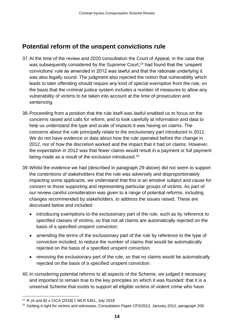## <span id="page-19-0"></span>**Potential reform of the unspent convictions rule**

- 37.At the time of the review and 2020 consultation the Court of Appeal, in the case that was subsequently considered by the Supreme Court,<sup>14</sup> had found that the 'unspent convictions' rule as amended in 2012 was lawful and that the rationale underlying it was also legally sound. The judgment also rejected the notion that vulnerability which leads to later offending should require any kind of special exemption from the rule, on the basis that the criminal justice system includes a number of measures to allow any vulnerability of victims to be taken into account at the time of prosecution and sentencing.
- 38.Proceeding from a position that the rule itself was lawful enabled us to focus on the concerns raised and calls for reform, and to look carefully at information and data to help us understand the type and scale of impacts it was having on claims. The concerns about the rule principally relate to the exclusionary part introduced in 2012. We do not have evidence or data about how the rule operated before the change in 2012, nor of how the discretion worked and the impact that it had on claims. However, the expectation in 2012 was that fewer claims would result in a payment or full payment being made as a result of the exclusion introduced.<sup>15</sup>
- 39.Whilst the evidence we had (described in paragraph 29 above) did not seem to support the contentions of stakeholders that the rule was adversely and disproportionately impacting some applicants, we understand that this is an emotive subject and cause for concern to those supporting and representing particular groups of victims. As part of our review careful consideration was given to a range of potential reforms, including changes recommended by stakeholders, to address the issues raised. These are discussed below and included:
	- introducing exemptions to the exclusionary part of the rule, such as by reference to specified classes of victims, so that not all claims are automatically rejected on the basis of a specified unspent conviction;
	- amending the terms of the exclusionary part of the rule by reference to the type of conviction included, to reduce the number of claims that would be automatically rejected on the basis of a specified unspent conviction;
	- removing the exclusionary part of the rule, so that no claims would be automatically rejected on the basis of a specified unspent conviction.
- 40.In considering potential reforms to all aspects of the Scheme, we judged it necessary and important to remain true to the key principles on which it was founded: that it is a universal Scheme that exists to support all eligible victims of violent crime who have

<sup>14</sup> R (A and B) v CICA [2018] 1 WLR 5361, July 2018

<sup>15</sup> Getting it right for victims and witnesses, Consultation Paper CP3/2012, January 2012, paragraph 208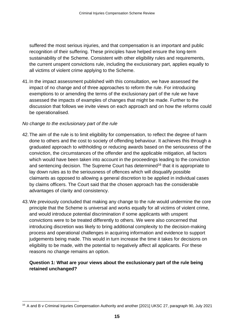suffered the most serious injuries, and that compensation is an important and public recognition of their suffering. These principles have helped ensure the long-term sustainability of the Scheme. Consistent with other eligibility rules and requirements, the current unspent convictions rule, including the exclusionary part, applies equally to all victims of violent crime applying to the Scheme.

41.In the impact assessment published with this consultation, we have assessed the impact of no change and of three approaches to reform the rule. For introducing exemptions to or amending the terms of the exclusionary part of the rule we have assessed the impacts of examples of changes that might be made. Further to the discussion that follows we invite views on each approach and on how the reforms could be operationalised.

#### *No change to the exclusionary part of the rule*

- 42.The aim of the rule is to limit eligibility for compensation, to reflect the degree of harm done to others and the cost to society of offending behaviour. It achieves this through a graduated approach to withholding or reducing awards based on the seriousness of the conviction, the circumstances of the offender and the applicable mitigation, all factors which would have been taken into account in the proceedings leading to the conviction and sentencing decision. The Supreme Court has determined<sup>16</sup> that it is appropriate to lay down rules as to the seriousness of offences which will disqualify possible claimants as opposed to allowing a general discretion to be applied in individual cases by claims officers. The Court said that the chosen approach has the considerable advantages of clarity and consistency.
- 43.We previously concluded that making any change to the rule would undermine the core principle that the Scheme is universal and works equally for all victims of violent crime, and would introduce potential discrimination if some applicants with unspent convictions were to be treated differently to others. We were also concerned that introducing discretion was likely to bring additional complexity to the decision-making process and operational challenges in acquiring information and evidence to support judgements being made. This would in turn increase the time it takes for decisions on eligibility to be made, with the potential to negatively affect all applicants. For these reasons no change remains an option.

#### **Question 1: What are your views about the exclusionary part of the rule being retained unchanged?**

<sup>16</sup> A and B v Criminal Injuries Compensation Authority and another [2021] UKSC 27, paragraph 90, July 2021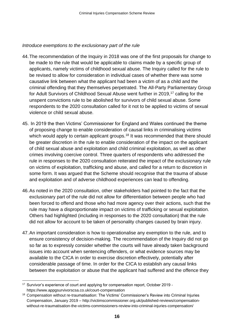#### *Introduce exemptions to the exclusionary part of the rule*

- 44.The recommendation of the Inquiry in 2018 was one of the first proposals for change to be made to the rule that would be applicable to claims made by a specific group of applicants, namely victims of childhood sexual abuse. The Inquiry called for the rule to be revised to allow for consideration in individual cases of whether there was some causative link between what the applicant had been a victim of as a child and the criminal offending that they themselves perpetrated. The All-Party Parliamentary Group for Adult Survivors of Childhood Sexual Abuse went further in 2019,<sup>17</sup> calling for the unspent convictions rule to be abolished for survivors of child sexual abuse. Some respondents to the 2020 consultation called for it not to be applied to victims of sexual violence or child sexual abuse.
- 45. In 2019 the then Victims' Commissioner for England and Wales continued the theme of proposing change to enable consideration of causal links in criminalising victims which would apply to certain applicant groups.<sup>18</sup> It was recommended that there should be greater discretion in the rule to enable consideration of the impact on the applicant of child sexual abuse and exploitation and child criminal exploitation, as well as other crimes involving coercive control. Three quarters of respondents who addressed the rule in responses to the 2020 consultation reiterated the impact of the exclusionary rule on victims of exploitation, trafficking and abuse, and called for a return to discretion in some form. It was argued that the Scheme should recognise that the trauma of abuse and exploitation and of adverse childhood experiences can lead to offending.
- 46.As noted in the 2020 consultation, other stakeholders had pointed to the fact that the exclusionary part of the rule did not allow for differentiation between people who had been forced to offend and those who had more agency over their actions, such that the rule may have a disproportionate impact on victims of trafficking or sexual exploitation. Others had highlighted (including in responses to the 2020 consultation) that the rule did not allow for account to be taken of personality changes caused by brain injury.
- 47.An important consideration is how to operationalise any exemption to the rule, and to ensure consistency of decision-making. The recommendation of the Inquiry did not go so far as to expressly consider whether the courts will have already taken background issues into account when sentencing offenders, or what evidence sources may be available to the CICA in order to exercise discretion effectively, potentially after considerable passage of time. In order for the CICA to establish any causal links between the exploitation or abuse that the applicant had suffered and the offence they

<sup>17</sup> Survivor's experience of court and applying for compensation report, October 2019 https://www.appgsurvivorscsa.co.uk/court-compensation

<sup>&</sup>lt;sup>18</sup> Compensation without re-traumatisation: The Victims' Commissioner's Review into Criminal Injuries Compensation, January 2019 – http://victimscommissioner.org.uk/published-reviews/compensationwithout-re-traumatisation-the-victims-commissioners-review-into-criminal-injuries-compensation/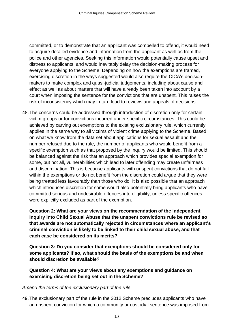committed, or to demonstrate that an applicant was compelled to offend, it would need to acquire detailed evidence and information from the applicant as well as from the police and other agencies. Seeking this information would potentially cause upset and distress to applicants, and would inevitably delay the decision-making process for everyone applying to the Scheme. Depending on how the exemptions are framed, exercising discretion in the ways suggested would also require the CICA's decisionmakers to make complex and quasi-judicial judgements, including about cause and effect as well as about matters that will have already been taken into account by a court when imposing the sentence for the convictions that are unspent. This raises the risk of inconsistency which may in turn lead to reviews and appeals of decisions.

48.The concerns could be addressed through introduction of discretion only for certain victim groups or for convictions incurred under specific circumstances. This could be achieved by carving out exemptions to the existing exclusionary rule, which currently applies in the same way to all victims of violent crime applying to the Scheme. Based on what we know from the data set about applications for sexual assault and the number refused due to the rule, the number of applicants who would benefit from a specific exemption such as that proposed by the Inquiry would be limited. This should be balanced against the risk that an approach which provides special exemption for some, but not all, vulnerabilities which lead to later offending may create unfairness and discrimination. This is because applicants with unspent convictions that do not fall within the exemptions or do not benefit from the discretion could argue that they were being treated less favourably than those who do. It is also possible that an approach which introduces discretion for some would also potentially bring applicants who have committed serious and undesirable offences into eligibility, unless specific offences were explicitly excluded as part of the exemption.

**Question 2: What are your views on the recommendation of the Independent Inquiry into Child Sexual Abuse that the unspent convictions rule be revised so that awards are not automatically rejected in circumstances where an applicant's criminal conviction is likely to be linked to their child sexual abuse, and that each case be considered on its merits?**

**Question 3: Do you consider that exemptions should be considered only for some applicants? If so, what should the basis of the exemptions be and when should discretion be available?** 

**Question 4: What are your views about any exemptions and guidance on exercising discretion being set out in the Scheme?**

#### *Amend the terms of the exclusionary part of the rule*

49.The exclusionary part of the rule in the 2012 Scheme precludes applicants who have an unspent conviction for which a community or custodial sentence was imposed from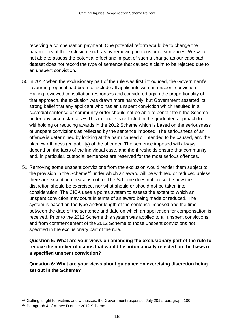receiving a compensation payment. One potential reform would be to change the parameters of the exclusion, such as by removing non-custodial sentences. We were not able to assess the potential effect and impact of such a change as our caseload dataset does not record the type of sentence that caused a claim to be rejected due to an unspent conviction.

- 50.In 2012 when the exclusionary part of the rule was first introduced, the Government's favoured proposal had been to exclude all applicants with an unspent conviction. Having reviewed consultation responses and considered again the proportionality of that approach, the exclusion was drawn more narrowly, but Government asserted its strong belief that any applicant who has an unspent conviction which resulted in a custodial sentence or community order should not be able to benefit from the Scheme under any circumstances.<sup>19</sup> This rationale is reflected in the graduated approach to withholding or reducing awards in the 2012 Scheme which is based on the seriousness of unspent convictions as reflected by the sentence imposed. The seriousness of an offence is determined by looking at the harm caused or intended to be caused, and the blameworthiness (culpability) of the offender. The sentence imposed will always depend on the facts of the individual case, and the thresholds ensure that community and, in particular, custodial sentences are reserved for the most serious offences.
- 51.Removing some unspent convictions from the exclusion would render them subject to the provision in the Scheme<sup>20</sup> under which an award will be withheld or reduced unless there are exceptional reasons not to. The Scheme does not prescribe how the discretion should be exercised, nor what should or should not be taken into consideration. The CICA uses a points system to assess the extent to which an unspent conviction may count in terms of an award being made or reduced. The system is based on the type and/or length of the sentence imposed and the time between the date of the sentence and date on which an application for compensation is received. Prior to the 2012 Scheme this system was applied to all unspent convictions, and from commencement of the 2012 Scheme to those unspent convictions not specified in the exclusionary part of the rule.

#### **Question 5: What are your views on amending the exclusionary part of the rule to reduce the number of claims that would be automatically rejected on the basis of a specified unspent conviction?**

**Question 6: What are your views about guidance on exercising discretion being set out in the Scheme?**

<sup>&</sup>lt;sup>19</sup> Getting it right for victims and witnesses: the Government response, July 2012, paragraph 180

<sup>&</sup>lt;sup>20</sup> Paragraph 4 of Annex D of the 2012 Scheme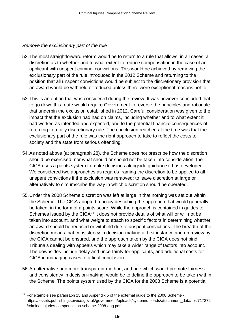#### *Remove the exclusionary part of the rule*

- 52.The most straightforward reform would be to return to a rule that allows, in all cases, a discretion as to whether and to what extent to reduce compensation in the case of an applicant with unspent criminal convictions. This would be achieved by removing the exclusionary part of the rule introduced in the 2012 Scheme and returning to the position that all unspent convictions would be subject to the discretionary provision that an award would be withheld or reduced unless there were exceptional reasons not to.
- 53.This is an option that was considered during the review. It was however concluded that to go down this route would require Government to reverse the principles and rationale that underpin the exclusion established in 2012. Careful consideration was given to the impact that the exclusion had had on claims, including whether and to what extent it had worked as intended and expected, and to the potential financial consequences of returning to a fully discretionary rule. The conclusion reached at the time was that the exclusionary part of the rule was the right approach to take to reflect the costs to society and the state from serious offending.
- 54.As noted above (at paragraph 28), the Scheme does not prescribe how the discretion should be exercised, nor what should or should not be taken into consideration; the CICA uses a points system to make decisions alongside guidance it has developed. We considered two approaches as regards framing the discretion to be applied to all unspent convictions if the exclusion was removed; to leave discretion at large or alternatively to circumscribe the way in which discretion should be operated.
- 55.Under the 2008 Scheme discretion was left at large in that nothing was set out within the Scheme. The CICA adopted a policy describing the approach that would generally be taken, in the form of a points score. While the approach is contained in guides to Schemes issued by the CICA<sup>21</sup> it does not provide details of what will or will not be taken into account, and what weight to attach to specific factors in determining whether an award should be reduced or withheld due to unspent convictions. The breadth of the discretion means that consistency in decision-making at first instance and on review by the CICA cannot be ensured, and the approach taken by the CICA does not bind Tribunals dealing with appeals which may take a wider range of factors into account. The downsides include delay and uncertainty for applicants, and additional costs for CICA in managing cases to a final conclusion.
- 56.An alternative and more transparent method, and one which would promote fairness and consistency in decision-making, would be to define the approach to be taken within the Scheme. The points system used by the CICA for the 2008 Scheme is a potential

 $21$  For example see paragraph 15 and Appendix 5 of the external guide to the 2008 Scheme https://assets.publishing.service.gov.uk/government/uploads/system/uploads/attachment\_data/file/717272 /criminal-injuries-compensation-scheme-2008-eng.pdf.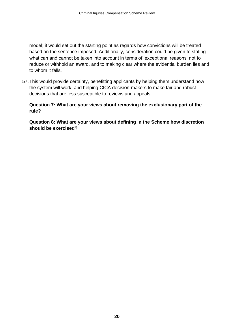model; it would set out the starting point as regards how convictions will be treated based on the sentence imposed. Additionally, consideration could be given to stating what can and cannot be taken into account in terms of 'exceptional reasons' not to reduce or withhold an award, and to making clear where the evidential burden lies and to whom it falls.

57.This would provide certainty, benefitting applicants by helping them understand how the system will work, and helping CICA decision-makers to make fair and robust decisions that are less susceptible to reviews and appeals.

#### **Question 7: What are your views about removing the exclusionary part of the rule?**

**Question 8: What are your views about defining in the Scheme how discretion should be exercised?**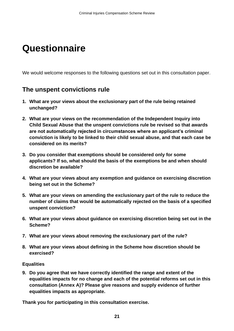## <span id="page-26-0"></span>**Questionnaire**

We would welcome responses to the following questions set out in this consultation paper.

### <span id="page-26-1"></span>**The unspent convictions rule**

- **1. What are your views about the exclusionary part of the rule being retained unchanged?**
- **2. What are your views on the recommendation of the Independent Inquiry into Child Sexual Abuse that the unspent convictions rule be revised so that awards are not automatically rejected in circumstances where an applicant's criminal conviction is likely to be linked to their child sexual abuse, and that each case be considered on its merits?**
- **3. Do you consider that exemptions should be considered only for some applicants? If so, what should the basis of the exemptions be and when should discretion be available?**
- **4. What are your views about any exemption and guidance on exercising discretion being set out in the Scheme?**
- **5. What are your views on amending the exclusionary part of the rule to reduce the number of claims that would be automatically rejected on the basis of a specified unspent conviction?**
- **6. What are your views about guidance on exercising discretion being set out in the Scheme?**
- **7. What are your views about removing the exclusionary part of the rule?**
- **8. What are your views about defining in the Scheme how discretion should be exercised?**

#### **Equalities**

**9. Do you agree that we have correctly identified the range and extent of the equalities impacts for no change and each of the potential reforms set out in this consultation (Annex A)? Please give reasons and supply evidence of further equalities impacts as appropriate.** 

**Thank you for participating in this consultation exercise.**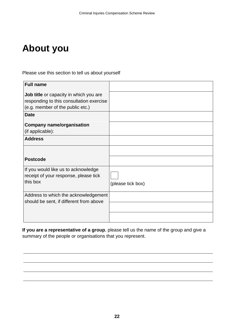## <span id="page-27-0"></span>**About you**

Please use this section to tell us about yourself

| <b>Full name</b>                                                                                                       |                   |
|------------------------------------------------------------------------------------------------------------------------|-------------------|
| Job title or capacity in which you are<br>responding to this consultation exercise<br>(e.g. member of the public etc.) |                   |
| <b>Date</b>                                                                                                            |                   |
| <b>Company name/organisation</b><br>(if applicable):                                                                   |                   |
| <b>Address</b>                                                                                                         |                   |
|                                                                                                                        |                   |
| <b>Postcode</b>                                                                                                        |                   |
| If you would like us to acknowledge<br>receipt of your response, please tick<br>this box                               | (please tick box) |
| Address to which the acknowledgement<br>should be sent, if different from above                                        |                   |

**If you are a representative of a group**, please tell us the name of the group and give a summary of the people or organisations that you represent.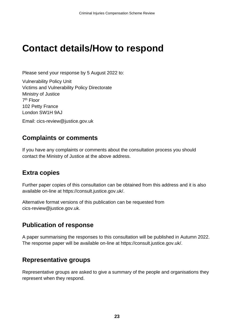## <span id="page-28-0"></span>**Contact details/How to respond**

Please send your response by 5 August 2022 to:

Vulnerability Policy Unit Victims and Vulnerability Policy Directorate Ministry of Justice 7<sup>th</sup> Floor 102 Petty France London SW1H 9AJ

Email: cics-review@justice.gov.uk

#### <span id="page-28-1"></span>**Complaints or comments**

If you have any complaints or comments about the consultation process you should contact the Ministry of Justice at the above address.

## <span id="page-28-2"></span>**Extra copies**

Further paper copies of this consultation can be obtained from this address and it is also available on-line at [https://consult.justice.gov.uk/.](https://consult.justice.gov.uk/)

Alternative format versions of this publication can be requested from cics-review@justice.gov.uk.

#### <span id="page-28-3"></span>**Publication of response**

A paper summarising the responses to this consultation will be published in Autumn 2022. The response paper will be available on-line at [https://consult.justice.gov.uk/.](https://consult.justice.gov.uk/)

#### <span id="page-28-4"></span>**Representative groups**

Representative groups are asked to give a summary of the people and organisations they represent when they respond.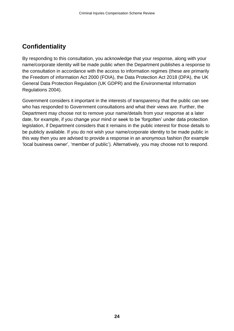## <span id="page-29-0"></span>**Confidentiality**

By responding to this consultation, you acknowledge that your response, along with your name/corporate identity will be made public when the Department publishes a response to the consultation in accordance with the access to information regimes (these are primarily the Freedom of information Act 2000 (FOIA), the Data Protection Act 2018 (DPA), the UK General Data Protection Regulation (UK GDPR) and the Environmental Information Regulations 2004).

Government considers it important in the interests of transparency that the public can see who has responded to Government consultations and what their views are. Further, the Department may choose not to remove your name/details from your response at a later date, for example, if you change your mind or seek to be 'forgotten' under data protection legislation, if Department considers that it remains in the public interest for those details to be publicly available. If you do not wish your name/corporate identity to be made public in this way then you are advised to provide a response in an anonymous fashion (for example 'local business owner', 'member of public'). Alternatively, you may choose not to respond.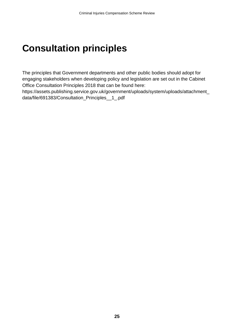## <span id="page-30-0"></span>**Consultation principles**

The principles that Government departments and other public bodies should adopt for engaging stakeholders when developing policy and legislation are set out in the Cabinet Office Consultation Principles 2018 that can be found here:

[https://assets.publishing.service.gov.uk/government/uploads/system/uploads/attachment\\_](https://assets.publishing.service.gov.uk/government/uploads/system/uploads/attachment_data/file/691383/Consultation_Principles__1_.pdf) [data/file/691383/Consultation\\_Principles\\_\\_1\\_.pdf](https://assets.publishing.service.gov.uk/government/uploads/system/uploads/attachment_data/file/691383/Consultation_Principles__1_.pdf)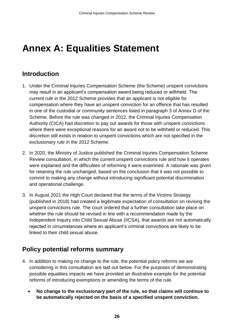## <span id="page-31-0"></span>**Annex A: Equalities Statement**

### **Introduction**

- 1. Under the Criminal Injuries Compensation Scheme (the Scheme) unspent convictions may result in an applicant's compensation award being reduced or withheld. The current rule in the 2012 Scheme provides that an applicant is not eligible for compensation where they have an unspent conviction for an offence that has resulted in one of the custodial or community sentences listed in paragraph 3 of Annex D of the Scheme. Before the rule was changed in 2012, the Criminal Injuries Compensation Authority (CICA) had discretion to pay out awards for those with unspent convictions where there were exceptional reasons for an award not to be withheld or reduced. This discretion still exists in relation to unspent convictions which are not specified in the exclusionary rule in the 2012 Scheme.
- 2. In 2020, the Ministry of Justice published the Criminal Injuries Compensation Scheme Review consultation, in which the current unspent convictions rule and how it operates were explained and the difficulties of reforming it were examined. A rationale was given for retaining the rule unchanged, based on the conclusion that it was not possible to commit to making any change without introducing significant potential discrimination and operational challenge.
- 3. In August 2021 the High Court declared that the terms of the Victims Strategy (published in 2018) had created a legitimate expectation of consultation on revising the unspent convictions rule. The court ordered that a further consultation take place on whether the rule should be revised in line with a recommendation made by the Independent Inquiry into Child Sexual Abuse (IICSA), that awards are not automatically rejected in circumstances where an applicant's criminal convictions are likely to be linked to their child sexual abuse.

## **Policy potential reforms summary**

- 4. In addition to making no change to the rule, the potential policy reforms we are considering in this consultation are laid out below. For the purposes of demonstrating possible equalities impacts we have provided an illustrative example for the potential reforms of introducing exemptions or amending the terms of the rule.
	- **No change to the exclusionary part of the rule, so that claims will continue to be automatically rejected on the basis of a specified unspent conviction.**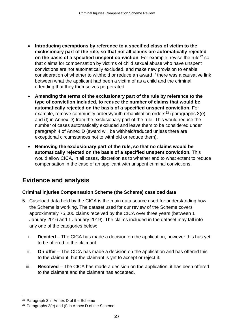- **Introducing exemptions by reference to a specified class of victim to the exclusionary part of the rule, so that not all claims are automatically rejected on the basis of a specified unspent conviction.** For example, revise the rule<sup>22</sup> so that claims for compensation by victims of child sexual abuse who have unspent convictions are not automatically excluded, and make new provision to enable consideration of whether to withhold or reduce an award if there was a causative link between what the applicant had been a victim of as a child and the criminal offending that they themselves perpetrated.
- **Amending the terms of the exclusionary part of the rule by reference to the type of conviction included, to reduce the number of claims that would be automatically rejected on the basis of a specified unspent conviction.** For example, remove community orders/youth rehabilitation orders<sup>23</sup> (paragraphs  $3(e)$ ) and (f) in Annex D) from the exclusionary part of the rule. This would reduce the number of cases automatically excluded and leave them to be considered under paragraph 4 of Annex D (award will be withheld/reduced unless there are exceptional circumstances not to withhold or reduce them).
- **Removing the exclusionary part of the rule, so that no claims would be automatically rejected on the basis of a specified unspent conviction.** This would allow CICA, in all cases, discretion as to whether and to what extent to reduce compensation in the case of an applicant with unspent criminal convictions.

## **Evidence and analysis**

#### **Criminal Injuries Compensation Scheme (the Scheme) caseload data**

- 5. Caseload data held by the CICA is the main data source used for understanding how the Scheme is working. The dataset used for our review of the Scheme covers approximately 75,000 claims received by the CICA over three years (between 1 January 2016 and 1 January 2019). The claims included in the dataset may fall into any one of the categories below:
	- i. **Decided** The CICA has made a decision on the application, however this has yet to be offered to the claimant.
	- ii. **On offer**  The CICA has made a decision on the application and has offered this to the claimant, but the claimant is yet to accept or reject it.
	- iii. **Resolved** The CICA has made a decision on the application, it has been offered to the claimant and the claimant has accepted.

<sup>22</sup> Paragraph 3 in Annex D of the Scheme

 $23$  Paragraphs 3(e) and (f) in Annex D of the Scheme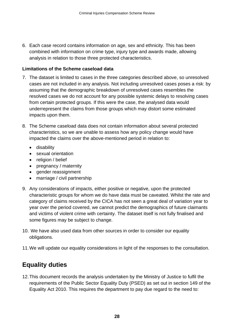6. Each case record contains information on age, sex and ethnicity. This has been combined with information on crime type, injury type and awards made, allowing analysis in relation to those three protected characteristics.

#### **Limitations of the Scheme caseload data**

- 7. The dataset is limited to cases in the three categories described above, so unresolved cases are not included in any analysis. Not including unresolved cases poses a risk: by assuming that the demographic breakdown of unresolved cases resembles the resolved cases we do not account for any possible systemic delays to resolving cases from certain protected groups. If this were the case, the analysed data would underrepresent the claims from those groups which may distort some estimated impacts upon them.
- 8. The Scheme caseload data does not contain information about several protected characteristics, so we are unable to assess how any policy change would have impacted the claims over the above-mentioned period in relation to:
	- disability
	- sexual orientation
	- religion / belief
	- pregnancy / maternity
	- gender reassignment
	- marriage / civil partnership
- 9. Any considerations of impacts, either positive or negative, upon the protected characteristic groups for whom we do have data must be caveated. Whilst the rate and category of claims received by the CICA has not seen a great deal of variation year to year over the period covered, we cannot predict the demographics of future claimants and victims of violent crime with certainty. The dataset itself is not fully finalised and some figures may be subject to change.
- 10. We have also used data from other sources in order to consider our equality obligations.
- 11.We will update our equality considerations in light of the responses to the consultation.

## **Equality duties**

12.This document records the analysis undertaken by the Ministry of Justice to fulfil the requirements of the Public Sector Equality Duty (PSED) as set out in section 149 of the Equality Act 2010. This requires the department to pay due regard to the need to: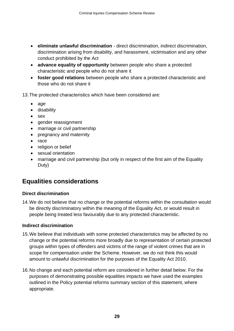- **eliminate unlawful discrimination** direct discrimination, indirect discrimination, discrimination arising from disability, and harassment, victimisation and any other conduct prohibited by the Act
- **advance equality of opportunity** between people who share a protected characteristic and people who do not share it
- **foster good relations** between people who share a protected characteristic and those who do not share it
- 13.The protected characteristics which have been considered are:
	- age
	- disability
	- sex
	- gender reassignment
	- marriage or civil partnership
	- pregnancy and maternity
	- race
	- religion or belief
	- sexual orientation
	- marriage and civil partnership (but only in respect of the first aim of the Equality Duty)

## **Equalities considerations**

#### **Direct discrimination**

14.We do not believe that no change or the potential reforms within the consultation would be directly discriminatory within the meaning of the Equality Act, or would result in people being treated less favourably due to any protected characteristic.

#### **Indirect discrimination**

- 15.We believe that individuals with some protected characteristics may be affected by no change or the potential reforms more broadly due to representation of certain protected groups within types of offenders and victims of the range of violent crimes that are in scope for compensation under the Scheme. However, we do not think this would amount to unlawful discrimination for the purposes of the Equality Act 2010.
- 16.No change and each potential reform are considered in further detail below. For the purposes of demonstrating possible equalities impacts we have used the examples outlined in the Policy potential reforms summary section of this statement, where appropriate.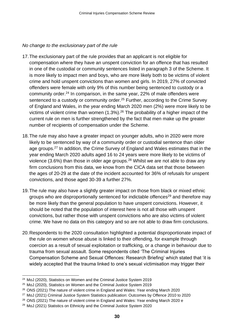#### *No change to the exclusionary part of the rule*

- 17.The exclusionary part of the rule provides that an applicant is not eligible for compensation where they have an unspent conviction for an offence that has resulted in one of the custodial or community sentences listed in paragraph 3 of the Scheme. It is more likely to impact men and boys, who are more likely both to be victims of violent crime and hold unspent convictions than women and girls. In 2019, 27% of convicted offenders were female with only 9% of this number being sentenced to custody or a community order.<sup>24</sup> In comparison, in the same year, 22% of male offenders were sentenced to a custody or community order.<sup>25</sup> Further, according to the Crime Survey of England and Wales, in the year ending March 2020 men (2%) were more likely to be victims of violent crime than women (1.3%).<sup>26</sup> The probability of a higher impact of the current rule on men is further strengthened by the fact that men make up the greater number of recipients of compensation under the Scheme.
- 18.The rule may also have a greater impact on younger adults, who in 2020 were more likely to be sentenced by way of a community order or custodial sentence than older age groups.<sup>27</sup> In addition, the Crime Survey of England and Wales estimates that in the year ending March 2020 adults aged 16 to 24 years were more likely to be victims of violence (3.6%) than those in older age groups.<sup>28</sup> Whilst we are not able to draw any firm conclusions from this data, we know from the CICA data set that those between the ages of 20-29 at the date of the incident accounted for 36% of refusals for unspent convictions, and those aged 30-39 a further 27%.
- 19.The rule may also have a slightly greater impact on those from black or mixed ethnic groups who are disproportionally sentenced for indictable offences<sup>29</sup> and therefore may be more likely than the general population to have unspent convictions. However, it should be noted that the population of interest here is not all those with unspent convictions, but rather those with unspent convictions who are also victims of violent crime. We have no data on this category and so are not able to draw firm conclusions.
- 20.Respondents to the 2020 consultation highlighted a potential disproportionate impact of the rule on women whose abuse is linked to their offending, for example through coercion as a result of sexual exploitation or trafficking, or a change in behaviour due to trauma from sexual assault. Some respondents cited 'The Criminal Injuries Compensation Scheme and Sexual Offences: Research Briefing' which stated that 'it is widely accepted that the trauma linked to one's sexual victimisation may trigger their

<sup>&</sup>lt;sup>24</sup> MoJ (2020), Statistics on Women and the Criminal Justice System 2019

<sup>&</sup>lt;sup>25</sup> MoJ (2020), Statistics on Women and the Criminal Justice System 2019

<sup>&</sup>lt;sup>26</sup> ONS (2021) The nature of violent crime in England and Wales: Year ending March 2020

<sup>27</sup> MoJ (2021) Criminal Justice System Statistics publication: Outcomes by Offence 2010 to 2020

<sup>&</sup>lt;sup>28</sup> ONS (2021) The nature of violent crime in England and Wales: Year ending March 2020 e

<sup>&</sup>lt;sup>29</sup> MoJ (2021) Statistics on Ethnicity and the Criminal Justice System 2020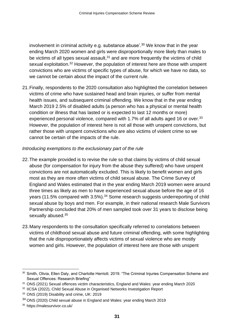involvement in criminal activity e.g. substance abuse'. <sup>30</sup> We know that in the year ending March 2020 women and girls were disproportionally more likely than males to be victims of all types sexual assault,<sup>31</sup> and are more frequently the victims of child sexual exploitation.<sup>32</sup> However, the population of interest here are those with unspent convictions who are victims of specific types of abuse, for which we have no data, so we cannot be certain about the impact of the current rule.

21.Finally, respondents to the 2020 consultation also highlighted the correlation between victims of crime who have sustained head and brain injuries, or suffer from mental health issues, and subsequent criminal offending. We know that in the year ending March 2019 2.5% of disabled adults (a person who has a physical or mental health condition or illness that has lasted or is expected to last 12 months or more) experienced personal violence, compared with 1.7% of all adults aged 16 or over.<sup>33</sup> However, the population of interest here is not all those with unspent convictions, but rather those with unspent convictions who are also victims of violent crime so we cannot be certain of the impacts of the rule.

#### *Introducing exemptions to the exclusionary part of the rule*

- 22.The example provided is to revise the rule so that claims by victims of child sexual abuse (for compensation for injury from the abuse they suffered) who have unspent convictions are not automatically excluded. This is likely to benefit women and girls most as they are more often victims of child sexual abuse. The Crime Survey of England and Wales estimated that in the year ending March 2019 women were around three times as likely as men to have experienced sexual abuse before the age of 16 years (11.5% compared with 3.5%).<sup>34</sup> Some research suggests underreporting of child sexual abuse by boys and men. For example, in their national research Male Survivors Partnership concluded that 20% of men sampled took over 31 years to disclose being sexually abused.<sup>35</sup>
- 23.Many respondents to the consultation specifically referred to correlations between victims of childhood sexual abuse and future criminal offending, with some highlighting that the rule disproportionately affects victims of sexual violence who are mostly women and girls. However, the population of interest here are those with unspent

<sup>30</sup> Smith, Olivia, Ellen Daly, and Charlotte Herriott. 2019. "The Criminal Injuries Compensation Scheme and Sexual Offences: Research Briefing"

<sup>31</sup> ONS (2021) Sexual offences victim characteristics, England and Wales: year ending March 2020

<sup>&</sup>lt;sup>32</sup> IICSA (2022), Child Sexual Abuse in Organised Networks Investigation Report

<sup>33</sup> ONS (2019) Disability and crime, UK: 2019

<sup>34</sup> ONS (2020) Child sexual abuse in England and Wales: year ending March 2019

<sup>35</sup> <https://malesurvivor.co.uk/>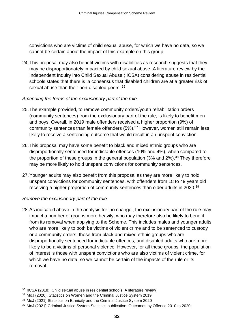convictions who are victims of child sexual abuse, for which we have no data, so we cannot be certain about the impact of this example on this group.

24.This proposal may also benefit victims with disabilities as research suggests that they may be disproportionately impacted by child sexual abuse. A literature review by the Independent Inquiry into Child Sexual Abuse (IICSA) considering abuse in residential schools states that there is 'a consensus that disabled children are at a greater risk of sexual abuse than their non-disabled peers'.<sup>36</sup>

#### *Amending the terms of the exclusionary part of the rule*

- 25.The example provided, to remove community orders/youth rehabilitation orders (community sentences) from the exclusionary part of the rule, is likely to benefit men and boys. Overall, in 2019 male offenders received a higher proportion (9%) of community sentences than female offenders (5%). <sup>37</sup> However, women still remain less likely to receive a sentencing outcome that would result in an unspent conviction.
- 26.This proposal may have some benefit to black and mixed ethnic groups who are disproportionally sentenced for indictable offences (10% and 4%), when compared to the proportion of these groups in the general population (3% and 2%).<sup>38</sup> They therefore may be more likely to hold unspent convictions for community sentences.
- 27.Younger adults may also benefit from this proposal as they are more likely to hold unspent convictions for community sentences, with offenders from 18 to 49 years old receiving a higher proportion of community sentences than older adults in 2020.<sup>39</sup>

#### *Remove the exclusionary part of the rule*

28.As indicated above in the analysis for 'no change', the exclusionary part of the rule may impact a number of groups more heavily, who may therefore also be likely to benefit from its removal when applying to the Scheme. This includes males and younger adults who are more likely to both be victims of violent crime and to be sentenced to custody or a community orders; those from black and mixed ethnic groups who are disproportionally sentenced for indictable offences; and disabled adults who are more likely to be a victims of personal violence. However, for all these groups, the population of interest is those with unspent convictions who are also victims of violent crime, for which we have no data, so we cannot be certain of the impacts of the rule or its removal.

<sup>&</sup>lt;sup>36</sup> IICSA (2018), Child sexual abuse in residential schools: A literature review

<sup>37</sup> MoJ (2020), Statistics on Women and the Criminal Justice System 2019

<sup>38</sup> MoJ (2021) Statistics on Ethnicity and the Criminal Justice System 2020

<sup>39</sup> MoJ (2021) Criminal Justice System Statistics publication: Outcomes by Offence 2010 to 2020s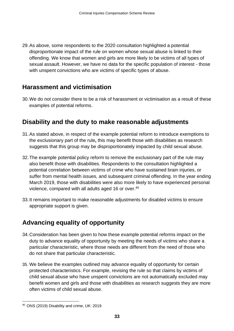29.As above, some respondents to the 2020 consultation highlighted a potential disproportionate impact of the rule on women whose sexual abuse is linked to their offending. We know that women and girls are more likely to be victims of all types of sexual assault. However, we have no data for the specific population of interest - those with unspent convictions who are victims of specific types of abuse.

#### **Harassment and victimisation**

30.We do not consider there to be a risk of harassment or victimisation as a result of these examples of potential reforms.

### **Disability and the duty to make reasonable adjustments**

- 31.As stated above, in respect of the example potential reform to introduce exemptions to the exclusionary part of the rule**,** this may benefit those with disabilities as research suggests that this group may be disproportionately impacted by child sexual abuse.
- 32.The example potential policy reform to remove the exclusionary part of the rule may also benefit those with disabilities. Respondents to the consultation highlighted a potential correlation between victims of crime who have sustained brain injuries, or suffer from mental health issues, and subsequent criminal offending. In the year ending March 2019, those with disabilities were also more likely to have experienced personal violence, compared with all adults aged 16 or over.<sup>40</sup>
- 33.It remains important to make reasonable adjustments for disabled victims to ensure appropriate support is given.

## **Advancing equality of opportunity**

- 34.Consideration has been given to how these example potential reforms impact on the duty to advance equality of opportunity by meeting the needs of victims who share a particular characteristic, where those needs are different from the need of those who do not share that particular characteristic.
- 35. We believe the examples outlined may advance equality of opportunity for certain protected characteristics. For example, revising the rule so that claims by victims of child sexual abuse who have unspent convictions are not automatically excluded may benefit women and girls and those with disabilities as research suggests they are more often victims of child sexual abuse.

<sup>40</sup> ONS (2019) Disability and crime, UK: 2019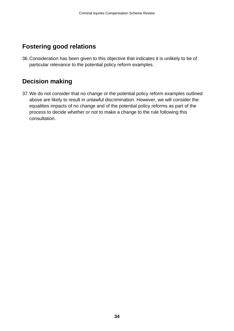## **Fostering good relations**

36.Consideration has been given to this objective that indicates it is unlikely to be of particular relevance to the potential policy reform examples.

## **Decision making**

37.We do not consider that no change or the potential policy reform examples outlined above are likely to result in unlawful discrimination. However, we will consider the equalities impacts of no change and of the potential policy reforms as part of the process to decide whether or not to make a change to the rule following this consultation.